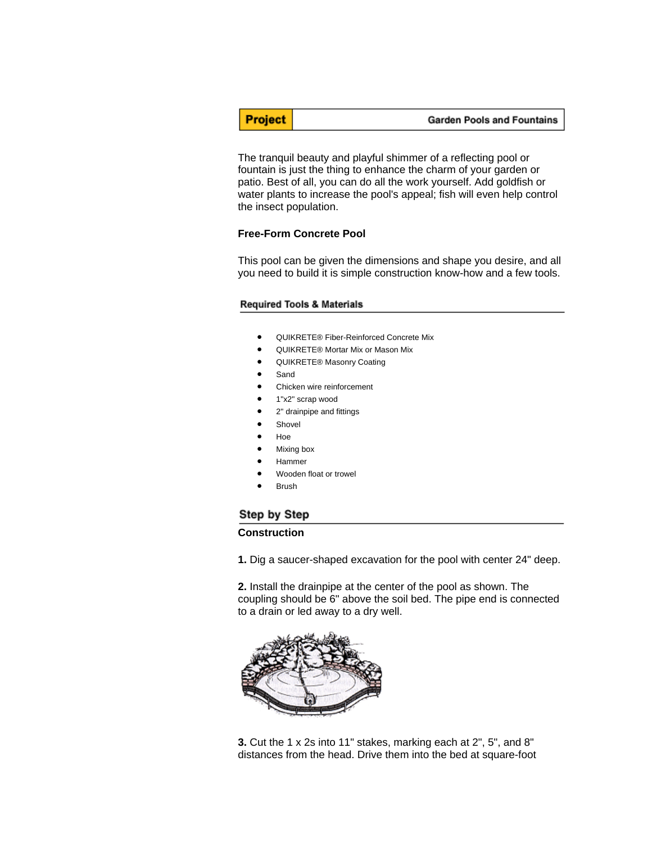**Project** 

The tranquil beauty and playful shimmer of a reflecting pool or fountain is just the thing to enhance the charm of your garden or patio. Best of all, you can do all the work yourself. Add goldfish or water plants to increase the pool's appeal; fish will even help control the insect population.

## **Free-Form Concrete Pool**

This pool can be given the dimensions and shape you desire, and all you need to build it is simple construction know-how and a few tools.

### **Required Tools & Materials**

- QUIKRETE® Fiber-Reinforced Concrete Mix
- QUIKRETE® Mortar Mix or Mason Mix
- QUIKRETE® Masonry Coating
- Sand
- Chicken wire reinforcement
- 1"x2" scrap wood
- 2" drainpipe and fittings
- **Shovel**
- Hoe
- Mixing box
- Hammer
- Wooden float or trowel
- **Brush**

# Step by Step

## **Construction**

**1.** Dig a saucer-shaped excavation for the pool with center 24" deep.

**2.** Install the drainpipe at the center of the pool as shown. The coupling should be 6" above the soil bed. The pipe end is connected to a drain or led away to a dry well.



**3.** Cut the 1 x 2s into 11" stakes, marking each at 2", 5", and 8" distances from the head. Drive them into the bed at square-foot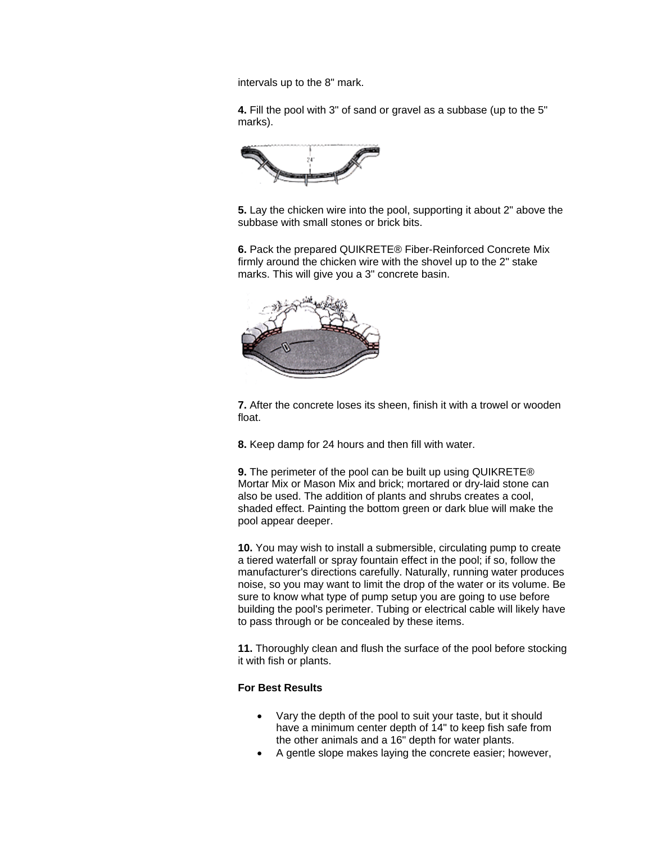intervals up to the 8" mark.

**4.** Fill the pool with 3" of sand or gravel as a subbase (up to the 5" marks).



**5.** Lay the chicken wire into the pool, supporting it about 2" above the subbase with small stones or brick bits.

**6.** Pack the prepared QUIKRETE® Fiber-Reinforced Concrete Mix firmly around the chicken wire with the shovel up to the 2" stake marks. This will give you a 3" concrete basin.



**7.** After the concrete loses its sheen, finish it with a trowel or wooden float.

**8.** Keep damp for 24 hours and then fill with water.

**9.** The perimeter of the pool can be built up using QUIKRETE® Mortar Mix or Mason Mix and brick; mortared or dry-laid stone can also be used. The addition of plants and shrubs creates a cool, shaded effect. Painting the bottom green or dark blue will make the pool appear deeper.

**10.** You may wish to install a submersible, circulating pump to create a tiered waterfall or spray fountain effect in the pool; if so, follow the manufacturer's directions carefully. Naturally, running water produces noise, so you may want to limit the drop of the water or its volume. Be sure to know what type of pump setup you are going to use before building the pool's perimeter. Tubing or electrical cable will likely have to pass through or be concealed by these items.

**11.** Thoroughly clean and flush the surface of the pool before stocking it with fish or plants.

# **For Best Results**

- Vary the depth of the pool to suit your taste, but it should have a minimum center depth of 14" to keep fish safe from the other animals and a 16" depth for water plants.
- A gentle slope makes laying the concrete easier; however,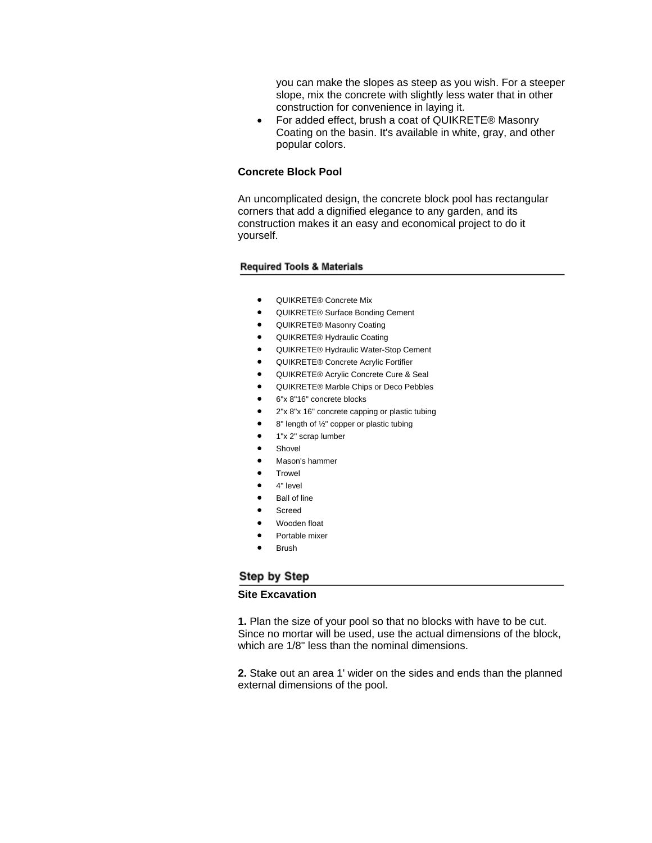you can make the slopes as steep as you wish. For a steeper slope, mix the concrete with slightly less water that in other construction for convenience in laying it.

• For added effect, brush a coat of QUIKRETE® Masonry Coating on the basin. It's available in white, gray, and other popular colors.

### **Concrete Block Pool**

An uncomplicated design, the concrete block pool has rectangular corners that add a dignified elegance to any garden, and its construction makes it an easy and economical project to do it yourself.

#### **Required Tools & Materials**

- QUIKRETE® Concrete Mix
- QUIKRETE® Surface Bonding Cement
- QUIKRETE® Masonry Coating
- QUIKRETE® Hydraulic Coating
- QUIKRETE® Hydraulic Water-Stop Cement
- QUIKRETE® Concrete Acrylic Fortifier
- QUIKRETE® Acrylic Concrete Cure & Seal
- QUIKRETE® Marble Chips or Deco Pebbles
- 6"x 8"16" concrete blocks
- 2"x 8"x 16" concrete capping or plastic tubing
- 8" length of 1/2" copper or plastic tubing
- 1"x 2" scrap lumber
- **Shovel**
- Mason's hammer
- **Trowel**
- 4" level
- **Ball of line**
- Screed
	- Wooden float
- Portable mixer
- **Brush**

## Step by Step

#### **Site Excavation**

**1.** Plan the size of your pool so that no blocks with have to be cut. Since no mortar will be used, use the actual dimensions of the block, which are 1/8" less than the nominal dimensions.

**2.** Stake out an area 1' wider on the sides and ends than the planned external dimensions of the pool.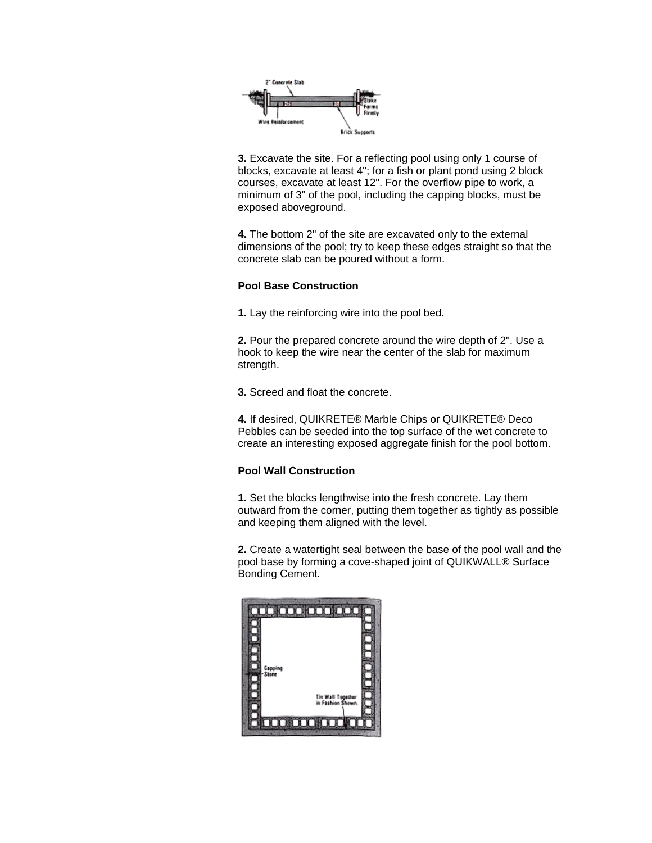

**3.** Excavate the site. For a reflecting pool using only 1 course of blocks, excavate at least 4"; for a fish or plant pond using 2 block courses, excavate at least 12". For the overflow pipe to work, a minimum of 3" of the pool, including the capping blocks, must be exposed aboveground.

**4.** The bottom 2" of the site are excavated only to the external dimensions of the pool; try to keep these edges straight so that the concrete slab can be poured without a form.

## **Pool Base Construction**

**1.** Lay the reinforcing wire into the pool bed.

**2.** Pour the prepared concrete around the wire depth of 2". Use a hook to keep the wire near the center of the slab for maximum strength.

**3.** Screed and float the concrete.

**4.** If desired, QUIKRETE® Marble Chips or QUIKRETE® Deco Pebbles can be seeded into the top surface of the wet concrete to create an interesting exposed aggregate finish for the pool bottom.

# **Pool Wall Construction**

**1.** Set the blocks lengthwise into the fresh concrete. Lay them outward from the corner, putting them together as tightly as possible and keeping them aligned with the level.

**2.** Create a watertight seal between the base of the pool wall and the pool base by forming a cove-shaped joint of QUIKWALL® Surface Bonding Cement.

|                  | h                                      |
|------------------|----------------------------------------|
|                  |                                        |
|                  |                                        |
|                  |                                        |
|                  |                                        |
|                  |                                        |
|                  |                                        |
| Capping<br>Slane |                                        |
|                  |                                        |
|                  |                                        |
|                  | Tie Wall Together<br>in Fashion Shewn. |
|                  |                                        |
|                  |                                        |
|                  |                                        |
|                  |                                        |